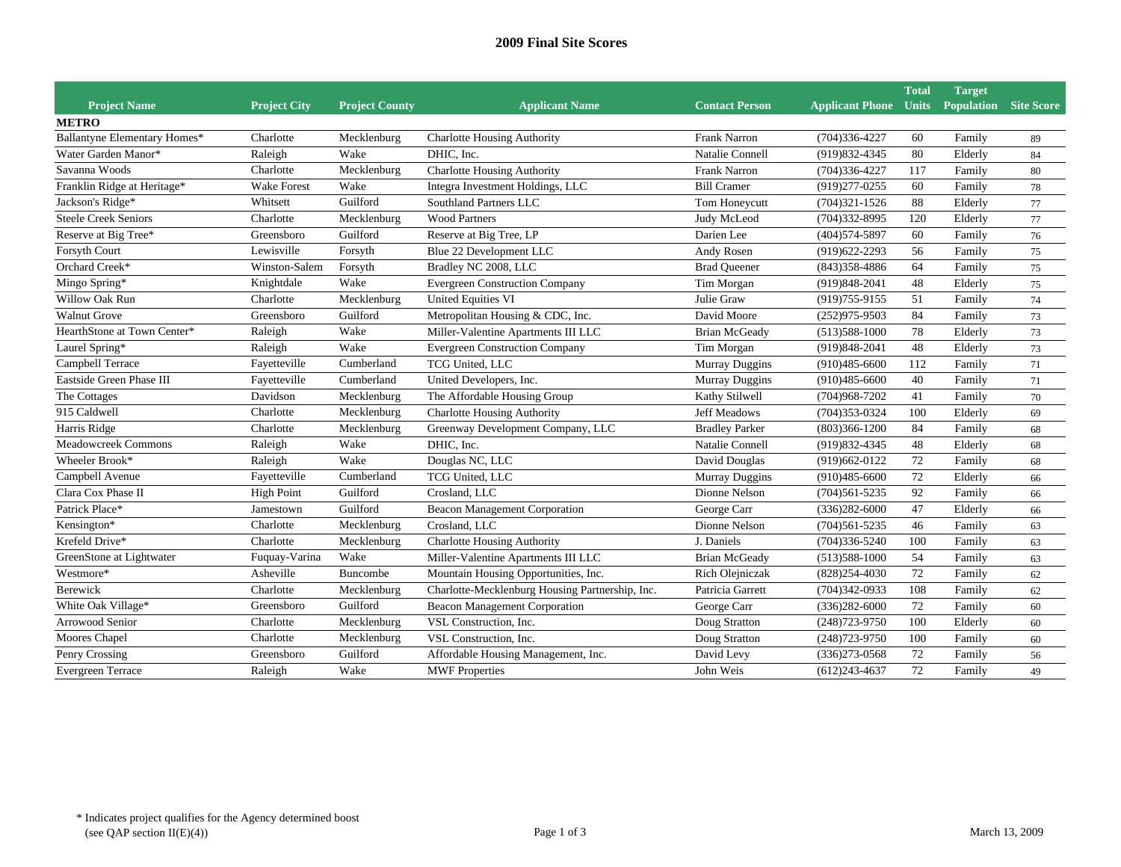| <b>Project Name</b>          | <b>Project City</b> | <b>Project County</b> | <b>Applicant Name</b>                           | <b>Contact Person</b> | <b>Applicant Phone</b> | <b>Total</b><br><b>Units</b> | <b>Target</b><br><b>Population</b> Site Score |    |
|------------------------------|---------------------|-----------------------|-------------------------------------------------|-----------------------|------------------------|------------------------------|-----------------------------------------------|----|
| <b>METRO</b>                 |                     |                       |                                                 |                       |                        |                              |                                               |    |
| Ballantyne Elementary Homes* | Charlotte           | Mecklenburg           | Charlotte Housing Authority                     | Frank Narron          | $(704)336-4227$        | 60                           | Family                                        | 89 |
| Water Garden Manor*          | Raleigh             | Wake                  | DHIC, Inc.                                      | Natalie Connell       | (919) 832-4345         | 80                           | Elderly                                       | 84 |
| Savanna Woods                | Charlotte           | Mecklenburg           | <b>Charlotte Housing Authority</b>              | <b>Frank Narron</b>   | $(704)336-4227$        | 117                          | Family                                        | 80 |
| Franklin Ridge at Heritage*  | <b>Wake Forest</b>  | Wake                  | Integra Investment Holdings, LLC                | <b>Bill Cramer</b>    | $(919)277 - 0255$      | 60                           | Family                                        | 78 |
| Jackson's Ridge*             | Whitsett            | Guilford              | Southland Partners LLC                          | Tom Honeycutt         | $(704)321 - 1526$      | 88                           | Elderly                                       | 77 |
| <b>Steele Creek Seniors</b>  | Charlotte           | Mecklenburg           | <b>Wood Partners</b>                            | Judy McLeod           | $(704)332 - 8995$      | 120                          | Elderly                                       | 77 |
| Reserve at Big Tree*         | Greensboro          | Guilford              | Reserve at Big Tree, LP                         | Darien Lee            | $(404)574 - 5897$      | 60                           | Family                                        | 76 |
| Forsyth Court                | Lewisville          | Forsyth               | Blue 22 Development LLC                         | Andy Rosen            | $(919)622 - 2293$      | 56                           | Family                                        | 75 |
| Orchard Creek*               | Winston-Salem       | Forsyth               | Bradley NC 2008, LLC                            | <b>Brad Oueener</b>   | $(843)358 - 4886$      | 64                           | Family                                        | 75 |
| Mingo Spring*                | Knightdale          | Wake                  | <b>Evergreen Construction Company</b>           | Tim Morgan            | (919) 848-2041         | 48                           | Elderly                                       | 75 |
| Willow Oak Run               | Charlotte           | Mecklenburg           | <b>United Equities VI</b>                       | Julie Graw            | $(919)755-9155$        | 51                           | Family                                        | 74 |
| <b>Walnut Grove</b>          | Greensboro          | Guilford              | Metropolitan Housing & CDC, Inc.                | David Moore           | $(252)975-9503$        | 84                           | Family                                        | 73 |
| HearthStone at Town Center*  | Raleigh             | Wake                  | Miller-Valentine Apartments III LLC             | <b>Brian McGeady</b>  | $(513)588-1000$        | 78                           | Elderly                                       | 73 |
| Laurel Spring*               | Raleigh             | Wake                  | <b>Evergreen Construction Company</b>           | Tim Morgan            | $(919)848-2041$        | 48                           | Elderly                                       | 73 |
| Campbell Terrace             | Fayetteville        | Cumberland            | TCG United, LLC                                 | <b>Murray Duggins</b> | $(910)485 - 6600$      | 112                          | Family                                        | 71 |
| Eastside Green Phase III     | Fayetteville        | Cumberland            | United Developers, Inc.                         | Murray Duggins        | $(910)485 - 6600$      | 40                           | Family                                        | 71 |
| The Cottages                 | Davidson            | Mecklenburg           | The Affordable Housing Group                    | Kathy Stilwell        | $(704)968 - 7202$      | 41                           | Family                                        | 70 |
| 915 Caldwell                 | Charlotte           | Mecklenburg           | <b>Charlotte Housing Authority</b>              | <b>Jeff Meadows</b>   | $(704)353-0324$        | 100                          | Elderly                                       | 69 |
| Harris Ridge                 | Charlotte           | Mecklenburg           | Greenway Development Company, LLC               | <b>Bradley Parker</b> | $(803)366 - 1200$      | 84                           | Family                                        | 68 |
| <b>Meadowcreek Commons</b>   | Raleigh             | Wake                  | DHIC. Inc.                                      | Natalie Connell       | $(919)832 - 4345$      | 48                           | Elderly                                       | 68 |
| Wheeler Brook*               | Raleigh             | Wake                  | Douglas NC, LLC                                 | David Douglas         | $(919)662-0122$        | 72                           | Family                                        | 68 |
| Campbell Avenue              | Fayetteville        | Cumberland            | TCG United, LLC                                 | Murray Duggins        | $(910)485 - 6600$      | 72                           | Elderly                                       | 66 |
| Clara Cox Phase II           | <b>High Point</b>   | Guilford              | Crosland, LLC                                   | Dionne Nelson         | $(704)561 - 5235$      | 92                           | Family                                        | 66 |
| Patrick Place*               | Jamestown           | Guilford              | <b>Beacon Management Corporation</b>            | George Carr           | $(336)282 - 6000$      | 47                           | Elderly                                       | 66 |
| Kensington*                  | Charlotte           | Mecklenburg           | Crosland, LLC                                   | Dionne Nelson         | $(704)561 - 5235$      | 46                           | Family                                        | 63 |
| Krefeld Drive*               | Charlotte           | Mecklenburg           | <b>Charlotte Housing Authority</b>              | J. Daniels            | $(704)336 - 5240$      | 100                          | Family                                        | 63 |
| GreenStone at Lightwater     | Fuquay-Varina       | Wake                  | Miller-Valentine Apartments III LLC             | <b>Brian McGeady</b>  | $(513)588-1000$        | 54                           | Family                                        | 63 |
| Westmore*                    | Asheville           | Buncombe              | Mountain Housing Opportunities, Inc.            | Rich Olejniczak       | $(828)254-4030$        | 72                           | Family                                        | 62 |
| Berewick                     | Charlotte           | Mecklenburg           | Charlotte-Mecklenburg Housing Partnership, Inc. | Patricia Garrett      | $(704)342-0933$        | 108                          | Family                                        | 62 |
| White Oak Village*           | Greensboro          | Guilford              | Beacon Management Corporation                   | George Carr           | $(336)282 - 6000$      | 72                           | Family                                        | 60 |
| <b>Arrowood Senior</b>       | Charlotte           | Mecklenburg           | VSL Construction, Inc.                          | Doug Stratton         | $(248)723 - 9750$      | 100                          | Elderly                                       | 60 |
| Moores Chapel                | Charlotte           | Mecklenburg           | VSL Construction, Inc.                          | Doug Stratton         | $(248)723 - 9750$      | 100                          | Family                                        | 60 |
| Penry Crossing               | Greensboro          | Guilford              | Affordable Housing Management, Inc.             | David Levy            | $(336)273-0568$        | 72                           | Family                                        | 56 |
| <b>Evergreen Terrace</b>     | Raleigh             | Wake                  | <b>MWF Properties</b>                           | John Weis             | $(612)243 - 4637$      | 72                           | Family                                        | 49 |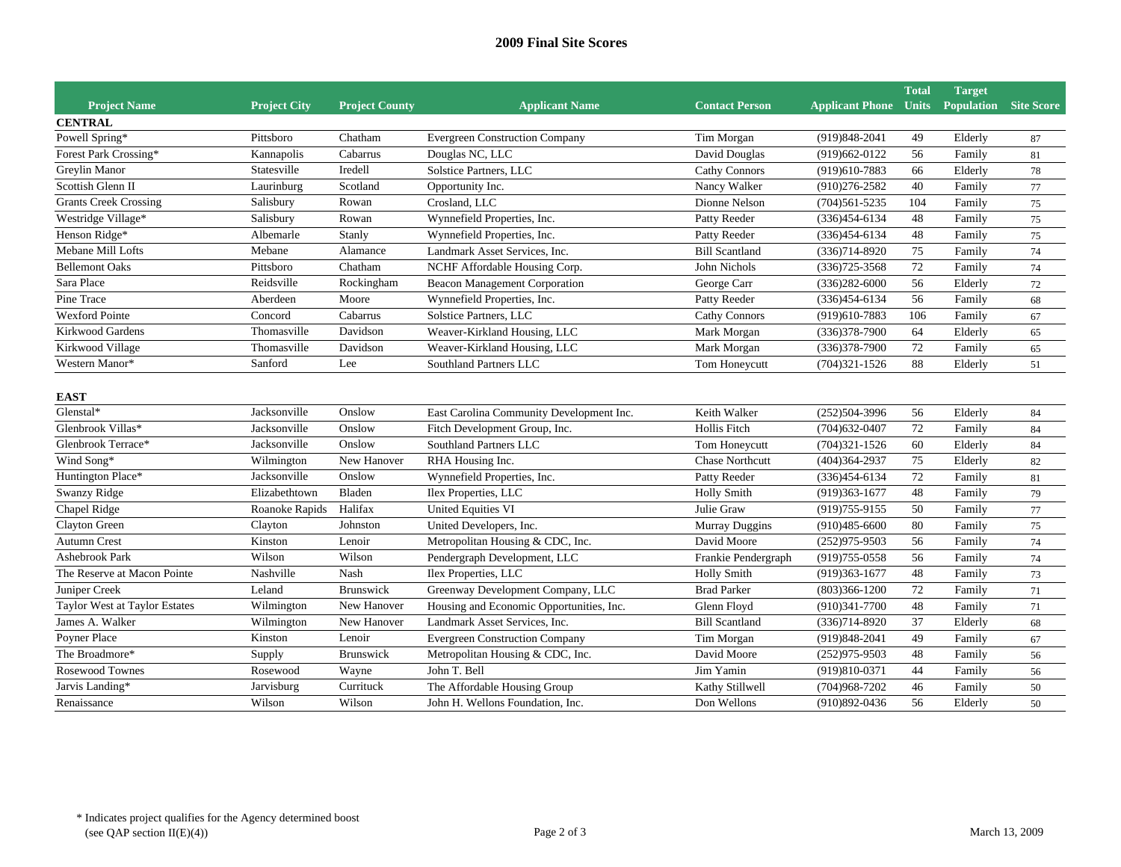## **2009 Final Site Scores**

|                               |                     |                       |                                          |                        |                              | <b>Total</b> | <b>Target</b>                |    |
|-------------------------------|---------------------|-----------------------|------------------------------------------|------------------------|------------------------------|--------------|------------------------------|----|
| <b>Project Name</b>           | <b>Project City</b> | <b>Project County</b> | <b>Applicant Name</b>                    | <b>Contact Person</b>  | <b>Applicant Phone Units</b> |              | <b>Population</b> Site Score |    |
| <b>CENTRAL</b>                |                     |                       |                                          |                        |                              |              |                              |    |
| Powell Spring*                | Pittsboro           | Chatham               | <b>Evergreen Construction Company</b>    | Tim Morgan             | $(919)848-2041$              | 49           | Elderly                      | 87 |
| Forest Park Crossing*         | Kannapolis          | Cabarrus              | Douglas NC, LLC                          | David Douglas          | $(919)662-0122$              | 56           | Family                       | 81 |
| Greylin Manor                 | Statesville         | Iredell               | Solstice Partners, LLC                   | Cathy Connors          | (919)610-7883                | 66           | Elderly                      | 78 |
| Scottish Glenn II             | Laurinburg          | Scotland              | Opportunity Inc.                         | Nancy Walker           | $(910)276 - 2582$            | 40           | Family                       | 77 |
| <b>Grants Creek Crossing</b>  | Salisbury           | Rowan                 | Crosland, LLC                            | Dionne Nelson          | $(704)561 - 5235$            | 104          | Family                       | 75 |
| Westridge Village*            | Salisbury           | Rowan                 | Wynnefield Properties, Inc.              | Patty Reeder           | $(336)454 - 6134$            | 48           | Family                       | 75 |
| Henson Ridge*                 | Albemarle           | Stanly                | Wynnefield Properties, Inc.              | Patty Reeder           | $(336)454 - 6134$            | 48           | Family                       | 75 |
| Mebane Mill Lofts             | Mebane              | Alamance              | Landmark Asset Services, Inc.            | <b>Bill Scantland</b>  | $(336)714 - 8920$            | 75           | Family                       | 74 |
| <b>Bellemont Oaks</b>         | Pittsboro           | Chatham               | NCHF Affordable Housing Corp.            | John Nichols           | $(336)725 - 3568$            | $72\,$       | Family                       | 74 |
| Sara Place                    | Reidsville          | Rockingham            | <b>Beacon Management Corporation</b>     | George Carr            | $(336)282 - 6000$            | 56           | Elderly                      | 72 |
| Pine Trace                    | Aberdeen            | Moore                 | Wynnefield Properties, Inc.              | Patty Reeder           | $(336)454-6134$              | 56           | Family                       | 68 |
| <b>Wexford Pointe</b>         | Concord             | Cabarrus              | Solstice Partners, LLC                   | Cathy Connors          | $(919)610-7883$              | 106          | Family                       | 67 |
| Kirkwood Gardens              | Thomasville         | Davidson              | Weaver-Kirkland Housing, LLC             | Mark Morgan            | $(336)378-7900$              | 64           | Elderly                      | 65 |
| Kirkwood Village              | Thomasville         | Davidson              | Weaver-Kirkland Housing, LLC             | Mark Morgan            | $(336)378-7900$              | 72           | Family                       | 65 |
| Western Manor*                | Sanford             | Lee                   | Southland Partners LLC                   | Tom Honeycutt          | $(704)321 - 1526$            | 88           | Elderly                      | 51 |
|                               |                     |                       |                                          |                        |                              |              |                              |    |
| <b>EAST</b>                   |                     |                       |                                          |                        |                              |              |                              |    |
| Glenstal*                     | Jacksonville        | Onslow                | East Carolina Community Development Inc. | Keith Walker           | $(252)504-3996$              | 56           | Elderly                      | 84 |
| Glenbrook Villas*             | Jacksonville        | Onslow                | Fitch Development Group, Inc.            | Hollis Fitch           | $(704)632-0407$              | 72           | Family                       | 84 |
| Glenbrook Terrace*            | Jacksonville        | Onslow                | Southland Partners LLC                   | Tom Honeycutt          | $(704)321 - 1526$            | 60           | Elderly                      | 84 |
| Wind Song*                    | Wilmington          | New Hanover           | RHA Housing Inc.                         | <b>Chase Northcutt</b> | $(404)364 - 2937$            | 75           | Elderly                      | 82 |
| Huntington Place*             | Jacksonville        | Onslow                | Wynnefield Properties, Inc.              | Patty Reeder           | $(336)454 - 6134$            | 72           | Family                       | 81 |
| <b>Swanzy Ridge</b>           | Elizabethtown       | Bladen                | Ilex Properties, LLC                     | <b>Holly Smith</b>     | $(919)363 - 1677$            | 48           | Family                       | 79 |
| Chapel Ridge                  | Roanoke Rapids      | Halifax               | <b>United Equities VI</b>                | Julie Graw             | $(919)755-9155$              | 50           | Family                       | 77 |
| <b>Clayton Green</b>          | Clayton             | Johnston              | United Developers, Inc.                  | <b>Murray Duggins</b>  | $(910)485 - 6600$            | 80           | Family                       | 75 |
| <b>Autumn Crest</b>           | Kinston             | Lenoir                | Metropolitan Housing & CDC, Inc.         | David Moore            | $(252)975-9503$              | 56           | Family                       | 74 |
| <b>Ashebrook Park</b>         | Wilson              | Wilson                | Pendergraph Development, LLC             | Frankie Pendergraph    | $(919)755-0558$              | 56           | Family                       | 74 |
| The Reserve at Macon Pointe   | Nashville           | Nash                  | Ilex Properties, LLC                     | <b>Holly Smith</b>     | $(919)363-1677$              | 48           | Family                       | 73 |
| Juniper Creek                 | Leland              | Brunswick             | Greenway Development Company, LLC        | <b>Brad Parker</b>     | $(803)366 - 1200$            | 72           | Family                       | 71 |
| Taylor West at Taylor Estates | Wilmington          | New Hanover           | Housing and Economic Opportunities, Inc. | Glenn Floyd            | $(910)341 - 7700$            | 48           | Family                       | 71 |
| James A. Walker               | Wilmington          | New Hanover           | Landmark Asset Services, Inc.            | <b>Bill Scantland</b>  | $(336)714 - 8920$            | 37           | Elderly                      | 68 |
| Poyner Place                  | Kinston             | Lenoir                | <b>Evergreen Construction Company</b>    | Tim Morgan             | (919) 848-2041               | 49           | Family                       | 67 |
| The Broadmore*                | Supply              | Brunswick             | Metropolitan Housing & CDC, Inc.         | David Moore            | $(252)975-9503$              | 48           | Family                       | 56 |
| Rosewood Townes               | Rosewood            | Wayne                 | John T. Bell                             | Jim Yamin              | (919)810-0371                | 44           | Family                       | 56 |
| Jarvis Landing*               | Jarvisburg          | Currituck             | The Affordable Housing Group             | Kathy Stillwell        | $(704)968 - 7202$            | 46           | Family                       | 50 |
| Renaissance                   | Wilson              | Wilson                | John H. Wellons Foundation, Inc.         | Don Wellons            | $(910)892 - 0436$            | 56           | Elderly                      | 50 |